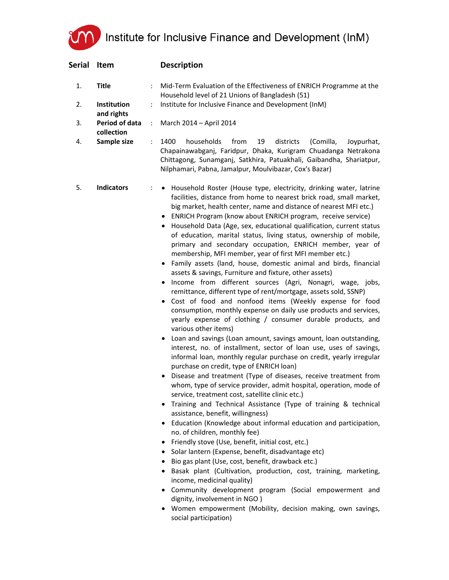UM Institute for Inclusive Finance and Development (InM)

| Serial   | Item                                       |   | <b>Description</b>                                                                                                                                                                                                                                                                                                                                                                                                                                                                                                                                                                                                                                                                                                                                                                                                                                                                                                                                                                                                                                                                                                                                                                                                                                                                                                                                                                                                                                                                                                                                                                                                                                                                                                                                                                                                                                                                                                                                                                                                                                                                                                                                                                                                 |
|----------|--------------------------------------------|---|--------------------------------------------------------------------------------------------------------------------------------------------------------------------------------------------------------------------------------------------------------------------------------------------------------------------------------------------------------------------------------------------------------------------------------------------------------------------------------------------------------------------------------------------------------------------------------------------------------------------------------------------------------------------------------------------------------------------------------------------------------------------------------------------------------------------------------------------------------------------------------------------------------------------------------------------------------------------------------------------------------------------------------------------------------------------------------------------------------------------------------------------------------------------------------------------------------------------------------------------------------------------------------------------------------------------------------------------------------------------------------------------------------------------------------------------------------------------------------------------------------------------------------------------------------------------------------------------------------------------------------------------------------------------------------------------------------------------------------------------------------------------------------------------------------------------------------------------------------------------------------------------------------------------------------------------------------------------------------------------------------------------------------------------------------------------------------------------------------------------------------------------------------------------------------------------------------------------|
| 1.<br>2. | <b>Title</b><br>Institution                |   | Mid-Term Evaluation of the Effectiveness of ENRICH Programme at the<br>Household level of 21 Unions of Bangladesh (51)<br>Institute for Inclusive Finance and Development (InM)                                                                                                                                                                                                                                                                                                                                                                                                                                                                                                                                                                                                                                                                                                                                                                                                                                                                                                                                                                                                                                                                                                                                                                                                                                                                                                                                                                                                                                                                                                                                                                                                                                                                                                                                                                                                                                                                                                                                                                                                                                    |
| 3.       | and rights<br>Period of data<br>collection | ÷ | March 2014 - April 2014                                                                                                                                                                                                                                                                                                                                                                                                                                                                                                                                                                                                                                                                                                                                                                                                                                                                                                                                                                                                                                                                                                                                                                                                                                                                                                                                                                                                                                                                                                                                                                                                                                                                                                                                                                                                                                                                                                                                                                                                                                                                                                                                                                                            |
| 4.       | Sample size                                | ÷ | 1400<br>from<br>19<br>districts<br>(Comilla,<br>households<br>Joypurhat,<br>Chapainawabganj, Faridpur, Dhaka, Kurigram Chuadanga Netrakona<br>Chittagong, Sunamganj, Satkhira, Patuakhali, Gaibandha, Shariatpur,<br>Nilphamari, Pabna, Jamalpur, Moulvibazar, Cox's Bazar)                                                                                                                                                                                                                                                                                                                                                                                                                                                                                                                                                                                                                                                                                                                                                                                                                                                                                                                                                                                                                                                                                                                                                                                                                                                                                                                                                                                                                                                                                                                                                                                                                                                                                                                                                                                                                                                                                                                                        |
| 5.       | <b>Indicators</b>                          |   | • Household Roster (House type, electricity, drinking water, latrine<br>facilities, distance from home to nearest brick road, small market,<br>big market, health center, name and distance of nearest MFI etc.)<br>• ENRICH Program (know about ENRICH program, receive service)<br>Household Data (Age, sex, educational qualification, current status<br>٠<br>of education, marital status, living status, ownership of mobile,<br>primary and secondary occupation, ENRICH member, year of<br>membership, MFI member, year of first MFI member etc.)<br>Family assets (land, house, domestic animal and birds, financial<br>assets & savings, Furniture and fixture, other assets)<br>Income from different sources (Agri, Nonagri, wage, jobs,<br>$\bullet$<br>remittance, different type of rent/mortgage, assets sold, SSNP)<br>Cost of food and nonfood items (Weekly expense for food<br>$\bullet$<br>consumption, monthly expense on daily use products and services,<br>yearly expense of clothing / consumer durable products, and<br>various other items)<br>Loan and savings (Loan amount, savings amount, loan outstanding,<br>٠<br>interest, no. of installment, sector of loan use, uses of savings,<br>informal loan, monthly regular purchase on credit, yearly irregular<br>purchase on credit, type of ENRICH loan)<br>• Disease and treatment (Type of diseases, receive treatment from<br>whom, type of service provider, admit hospital, operation, mode of<br>service, treatment cost, satellite clinic etc.)<br>Training and Technical Assistance (Type of training & technical<br>assistance, benefit, willingness)<br>• Education (Knowledge about informal education and participation,<br>no. of children, monthly fee)<br>• Friendly stove (Use, benefit, initial cost, etc.)<br>• Solar lantern (Expense, benefit, disadvantage etc)<br>Bio gas plant (Use, cost, benefit, drawback etc.)<br>Basak plant (Cultivation, production, cost, training, marketing,<br>٠<br>income, medicinal quality)<br>• Community development program (Social empowerment and<br>dignity, involvement in NGO)<br>Women empowerment (Mobility, decision making, own savings,<br>social participation) |